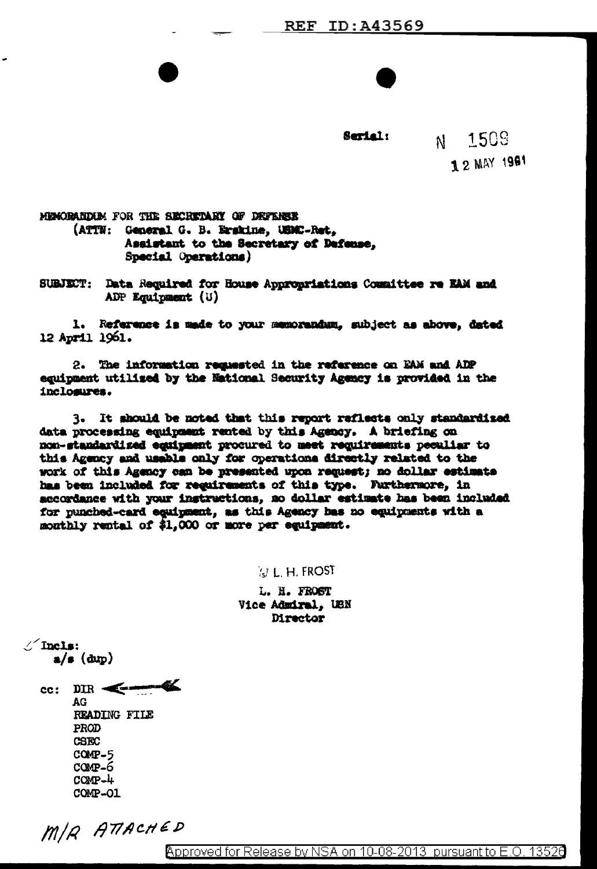Serial:

1509  $\mathbf{M}$ 1 2 MAY 1981

MENORARDAR FOR THE SECRETARY OF DEFENSE (ATTN: General G. B. Erskine, UBMC-Ret. Assistant to the Secretary of Defense. Special Operations)

SUBJECT: Data Required for House Appropriations Committee re EAM and ADP Equipment (U)

1. Reference is made to your memorandum, subject as above, dated 12 April 1961.

2. The information requested in the reference on EAM and ADP equipment utilized by the National Security Agency is provided in the inclosures.

It should be noted that this report raflects only standardized  $3.$ data processing equipment rented by this Agency. A briefing on non-standardized equipment procured to meet requirements peculiar to this Agency and usable only for operations directly related to the work of this Agency can be presented upon request; no dollar estimate has been included for requirements of this type. Furthermore, in accordance with your instructions, no dollar estimate has been included for punched-card equigment, as this Agency has no equipments with a monthly rental of \$1,000 or more per equipment.

**N.L.H.FROST** 

L. H. FROST Vice Admiral, USN Director

 $\angle$  Incls:  $a/\mathbf{s}$  (dup)

 $\text{cc: } \text{DIR} \leftarrow \bullet$  $AG$ READING FILE PROD **CSEC**  $COMP-5$  $COMP-6$  $COMP-4$ COMP-01

MIR ATTACHED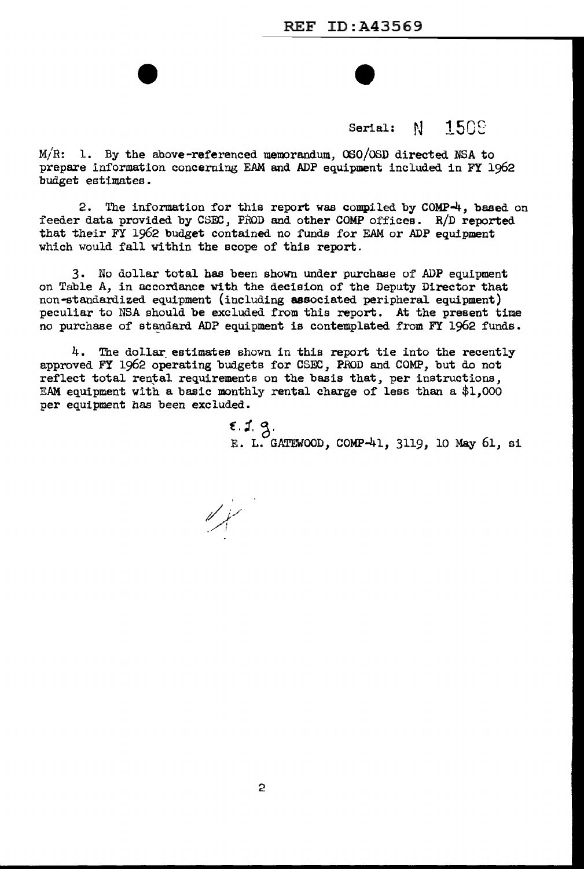Serial:  $N-150%$ 

 $M/R: 1.$  By the above-referenced memorandum, OSO/OSD directed NSA to prepare information concerning EAM and ADP equipment included in FY 1962 budget estimates.

2. The information for this report was compiled by COMP-4, based on feeder data provided by CSFC, PRoD and other COMP offices. R/D reported that their FY 1962 budget contained no funds for EAM or ADP equipment which would fall within the scope of this report.

3. No dollar total has been shown under purchase of' ADP equipment on Table A, in accordance with the decision of the Deputy Director that non-standardized equipment (including associated peripheral equipment) peculiar to NSA should be excluded from this report. At the present time no purchase of standard ADP equipment is contemplated from FY 1962 funds.

4. The dollar estimates shown in this report tie into the recently approved FY 1962 operating budgets for CSEC, PROD and COMP, but do not reflect total rental requirements on the basis that, per instructions, E.AM equipment with a basic monthly rental charge of less than a \$1,000 per equipment has been excluded.

> $5.1.9.$ E. L. GATEWOOD, COMP-41, 3119, 10 May 61, si

*/i/*  .. A <sup>I</sup>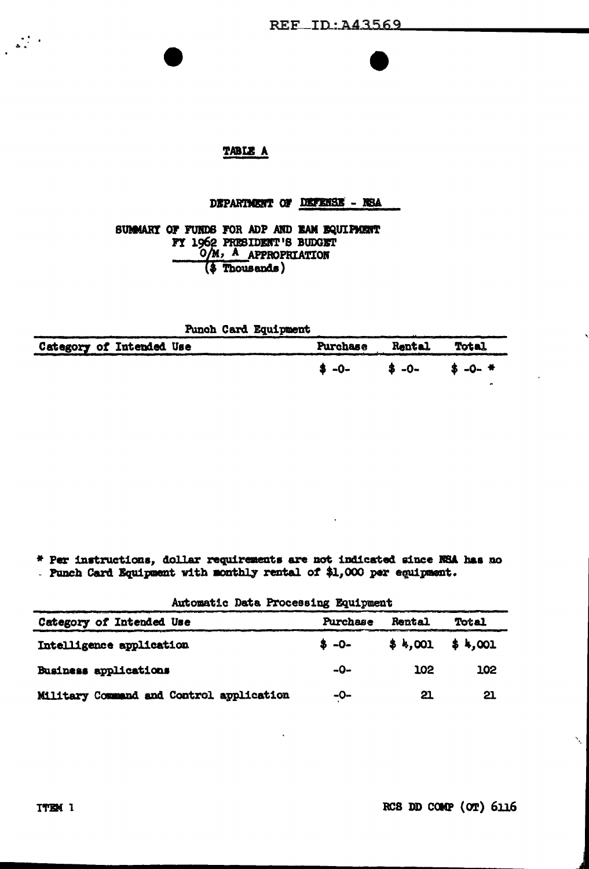# TABLE A

### DEPARTMENT OF DEFENSE - NSA

SUMMARY OF FURDS FOR ADP AND EAM EQUIPMENT **FY 1962 PRESIDENT'S BUDGET**<br>
O/M, A APPROPRIATION<br>
(\$ Thousands)

| <b>Punch Card Equipment</b> |                       |  |
|-----------------------------|-----------------------|--|
| Category of Intended Use    | Purchase Rental Total |  |
|                             | $$-0 $-0 $-0 $-0 +$   |  |

\* Per instructions, dollar requirements are not indicated since NSA has no . Punch Card Equipment with monthly rental of \$1,000 per equipment.

Automatic Data Processing Equipment

| Category of Intended Use                 | Purchase  | Rental            | Total |  |
|------------------------------------------|-----------|-------------------|-------|--|
| Intelligence application                 | $8 - 0 -$ | $$4,001$ $$4,001$ |       |  |
| Business applications                    | -0-       | 102               | 102   |  |
| Military Command and Control application | -0-       | 21                | 21    |  |

Ń,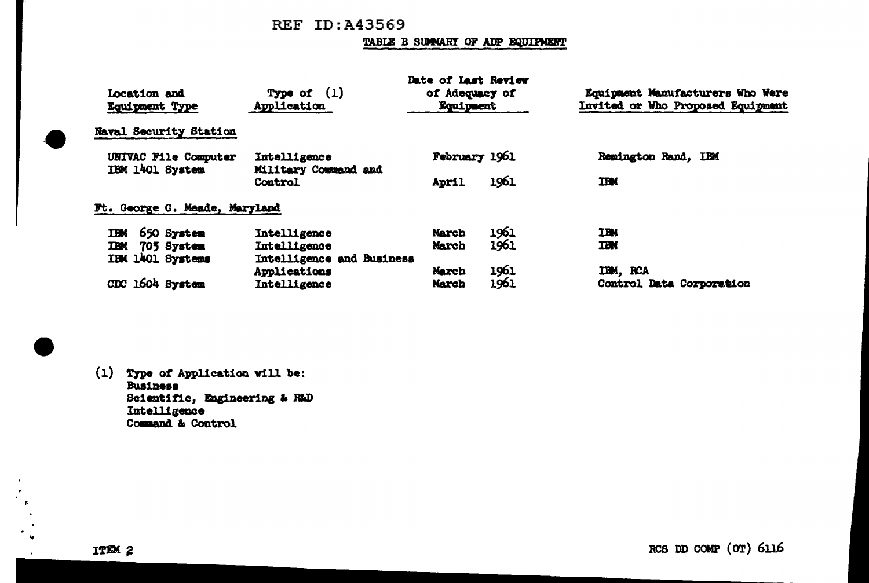# REF ID:A43569

#### TABLE B SUMMARY OF ADP EQUIPMENT

|                                         |                                      | Date of Last Review |      |                                   |
|-----------------------------------------|--------------------------------------|---------------------|------|-----------------------------------|
| Location and                            | Type of $(1)$                        | of Adequacy of      |      | Equipment Manufacturers Who Were  |
| <b>Equipment Type</b>                   | Application                          | Equipment           |      | Invited or Who Proposed Equipment |
| <b>Naval Security Station</b>           |                                      |                     |      |                                   |
| UNIVAC File Computer<br>IBM 1401 System | Intelligence<br>Military Command and | February 1961       |      | Remington Rand, IBM               |
|                                         | Control                              | April               | 1961 | <b>TBK</b>                        |
| Ft. George G. Meade, Maryland           |                                      |                     |      |                                   |
| 650 System<br><b>IBM</b>                | Intelligence                         | March               | 1961 | <b>TBM</b>                        |
| <b>TBM</b><br>705 System                | Intelligence                         | March               | 1961 | <b>TBM</b>                        |
| IBM 1401 Systems                        | Intelligence and Business            |                     |      |                                   |
|                                         | Applications                         | March               | 1961 | IBM, RCA                          |
| CDC 1604 System                         | Intelligence                         | March               | 1961 | Control Data Corporation          |

(1) Type of Application will be:<br>Business Scientific, Engineering & R&D Intelligence Command & Control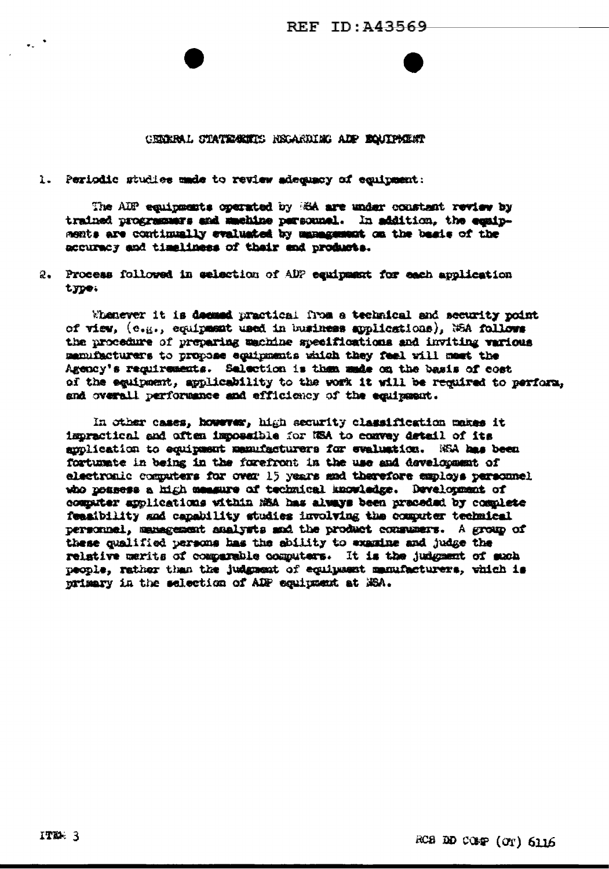#### GERERAL STATEGETE NEGARDING ADP BOUTFALST

1. Periodic studies unde to review adequacy of equipment:

The AIP equipments operated by ESA are under constant review by trained programmers and machine personnel. In addition, the equipments are continually evaluated by management on the basis of the accuracy and timeliness of their and products.

2. Process followed in selection of ADP equipment for each application type.

Whenever it is deemed practical from a technical and security point of view, (e.g., equipment used in business applications), WEA follows the procedure of preparing machine specifications and inviting various menufacturers to propose equipments which they feel will most the Agency's requirements. Salection is then made on the basis of cost of the equipment, applicability to the work it will be required to perform, and overall performance and efficiency of the equipment.

In other cases, however, high security classification makes it impractical and often impossible for NSA to convey detail of its amplication to equipment manufacturers for evaluation. NSA has been fortunate in being in the forefront in the use and development of electronic computers for over 15 years and therefore employs personnel who nossess a high measure of technical knowledge. Development of computer applications within MSA has always been praceded by complete feasibility and capability studies involving the computer technical personnel, management analysts and the product consumers. A group of these qualified persons has the sbility to examine and judge the relative merits of comparable computers. It is the judgment of such people, rather than the judgment of equipment manufacturers, which is primary in the selection of ADP equipment at MSA.

 $\sim$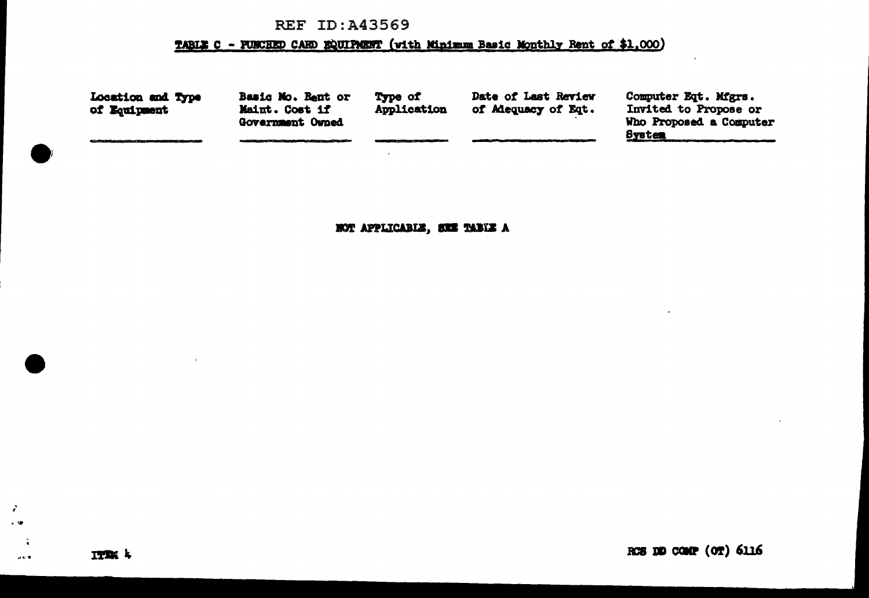# **REF ID:A43569**

# TABLE C - FUNCHED CARD EQUIPMENT (with Minimum Basic Monthly Rent of \$1,000)

| Location and Type<br>of Equipment                                                     | Basic Mo. Rent or<br>Maint. Cost if<br>Government Owned | Type of<br>Application | Date of Last Review<br>of Adequacy of Eqt.                                                             | Computer Eqt. Mfgrs.<br>Invited to Propose or<br>Who Proposed a Computer |
|---------------------------------------------------------------------------------------|---------------------------------------------------------|------------------------|--------------------------------------------------------------------------------------------------------|--------------------------------------------------------------------------|
| 477. 2009 State of Antario State of Themsel Antario State of Antario State of Antario | and the second control of the control of the second     |                        | in the contribution of the property services and in the State and the contribution of the contribution | <b>System</b>                                                            |
|                                                                                       |                                                         |                        |                                                                                                        |                                                                          |

NOT APPLICABLE, SEE TABLE A

 $\mathcal{L}$  $\sim 9$ 

 $\ddot{\phantom{a}}$ 

 $\mu \in \Psi$